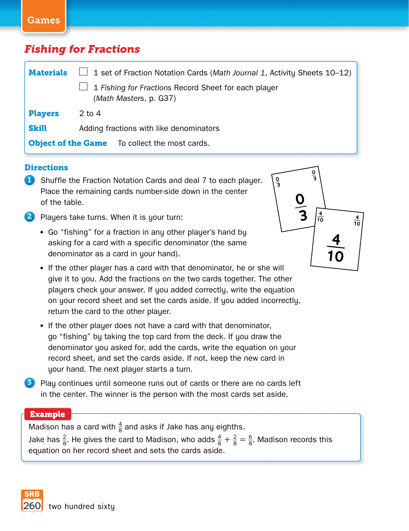### *Fishing for Fractions*

| <b>Materials</b>                                     | 1 set of Fraction Notation Cards (Math Journal 1, Activity Sheets 10-12)       |  |  |
|------------------------------------------------------|--------------------------------------------------------------------------------|--|--|
|                                                      | 1 Fishing for Fractions Record Sheet for each player<br>(Math Masters, p. G37) |  |  |
| <b>Players</b>                                       | $2$ to 4                                                                       |  |  |
| <b>Skill</b>                                         | Adding fractions with like denominators                                        |  |  |
| <b>Object of the Game</b> To collect the most cards. |                                                                                |  |  |

#### **Directions**

- **1** Shuffle the Fraction Notation Cards and deal 7 to each player. Place the remaining cards number-side down in the center of the table.
- 2 Players take turns. When it is your turn:
	- Go "fishing" for a fraction in any other player's hand by asking for a card with a specific denominator (the same denominator as a card in your hand).
	- If the other player has a card with that denominator, he or she will give it to you. Add the fractions on the two cards together. The other players check your answer. If you added correctly, write the equation on your record sheet and set the cards aside. If you added incorrectly, return the card to the other player.
	- If the other player does not have a card with that denominator, go "fishing" by taking the top card from the deck. If you draw the denominator you asked for, add the cards, write the equation on your record sheet, and set the cards aside. If not, keep the new card in your hand. The next player starts a turn.
- **3** Play continues until someone runs out of cards or there are no cards left in the center. The winner is the person with the most cards set aside.

#### **Example**

Madison has a card with  $\frac{4}{8}$  and asks if Jake has any eighths. Jake has  $\frac{2}{8}$ . He gives the card to Madison, who adds  $\frac{4}{8} + \frac{2}{8} = \frac{6}{8}$ . Madison records this equation on her record sheet and sets the cards aside.

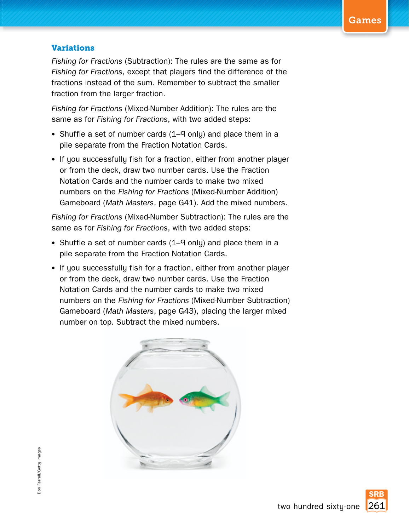#### **Variations**

*Fishing for Fractions* (Subtraction): The rules are the same as for *Fishing for Fractions*, except that players find the difference of the fractions instead of the sum. Remember to subtract the smaller fraction from the larger fraction.

*Fishing for Fractions* (Mixed-Number Addition): The rules are the same as for *Fishing for Fractions*, with two added steps:

- Shuffle a set of number cards (1–9 only) and place them in a pile separate from the Fraction Notation Cards.
- If you successfully fish for a fraction, either from another player or from the deck, draw two number cards. Use the Fraction Notation Cards and the number cards to make two mixed numbers on the *Fishing for Fractions* (Mixed-Number Addition) Gameboard (*Math Masters*, page G41). Add the mixed numbers.

*Fishing for Fractions* (Mixed-Number Subtraction): The rules are the same as for *Fishing for Fractions*, with two added steps:

- Shuffle a set of number cards (1–9 only) and place them in a pile separate from the Fraction Notation Cards.
- If you successfully fish for a fraction, either from another player or from the deck, draw two number cards. Use the Fraction Notation Cards and the number cards to make two mixed numbers on the *Fishing for Fractions* (Mixed-Number Subtraction) Gameboard (*Math Masters*, page G43), placing the larger mixed number on top. Subtract the mixed numbers.

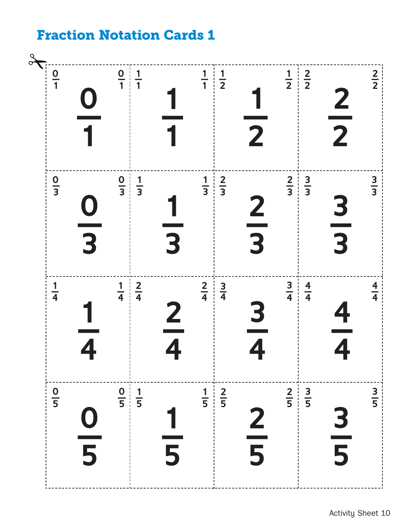# **Fraction Notation Cards 1**

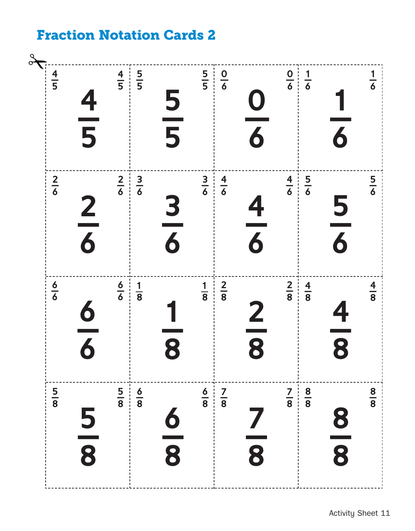# **Fraction Notation Cards 2**

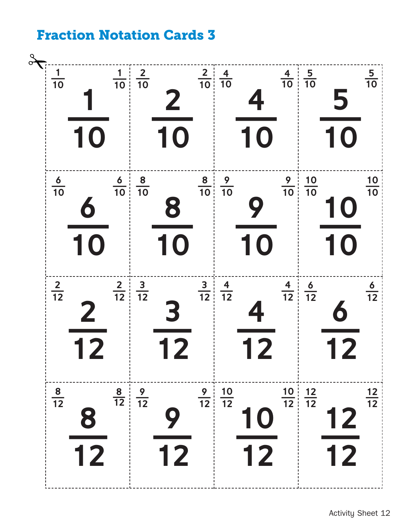### **Fraction Notation Cards 3**